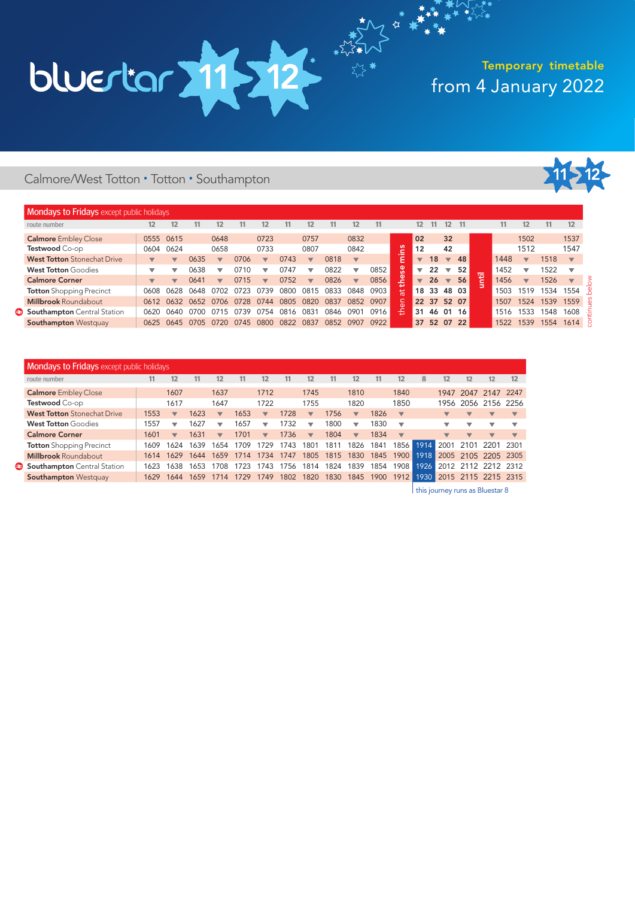# from 4 January 2022 Temporary timetable

### Calmore/West Totton • Totton • Southampton



| Mondays to Fridays except public holidays |                          |                          |      |                          |      |                          |             |                          |      |                          |           |                  |                          |       |                          |             |   |      |                          |      |                          |  |
|-------------------------------------------|--------------------------|--------------------------|------|--------------------------|------|--------------------------|-------------|--------------------------|------|--------------------------|-----------|------------------|--------------------------|-------|--------------------------|-------------|---|------|--------------------------|------|--------------------------|--|
| route number                              | 12.                      | 12                       | 11   | 12                       | 11   | 12                       | 11          | 12                       | 11   | 12                       |           |                  | 12                       |       | 12.                      |             |   | 11.  | 12                       |      | 12                       |  |
| <b>Calmore</b> Embley Close               |                          | 0555 0615                |      | 0648                     |      | 0723                     |             | 0757                     |      | 0832                     |           |                  | 02                       |       | 32                       |             |   |      | 1502                     |      | 1537                     |  |
| Testwood Co-op                            | 0604                     | 0624                     |      | 0658                     |      | 0733                     |             | 0807                     |      | 0842                     |           | ី                | 12                       |       | 42                       |             |   |      | 1512                     |      | 1547                     |  |
| <b>West Totton</b> Stonechat Drive        |                          | $\overline{\mathbf{v}}$  | 0635 | $\overline{\phantom{a}}$ | 0706 | $\overline{\mathbf{v}}$  | 0743        | $\overline{\phantom{a}}$ | 0818 | $\overline{\mathbf{v}}$  |           | $\cdot$ $-$<br>Ē | $\overline{\phantom{a}}$ | 18    | $\overline{\mathbf{v}}$  | 48          |   | 1448 | $\overline{\mathbf{v}}$  | 1518 | $\overline{\mathbf{v}}$  |  |
| <b>West Totton Goodies</b>                |                          | ₩                        | 0638 | $\overline{\phantom{a}}$ | 0710 | $\overline{\phantom{a}}$ | 0747        | ▽                        | 0822 | ▼                        | 0852      | es               | ▼                        | 22    | $\overline{\phantom{a}}$ | 52          | - | 1452 | ▼                        | 1522 |                          |  |
| <b>Calmore Corner</b>                     | $\overline{\phantom{a}}$ | $\overline{\phantom{0}}$ | 0641 | $\overline{\phantom{a}}$ | 0715 | $\overline{\phantom{a}}$ | 0752        | $\overline{\mathbf{v}}$  | 0826 | $\overline{\phantom{a}}$ | 0856      | ق.<br>ا<br>≖     | $\overline{\mathbf{v}}$  | 26    | $\overline{\mathbf{v}}$  | 56          | 逗 | 1456 | $\overline{\phantom{a}}$ | 1526 | $\overline{\phantom{a}}$ |  |
| <b>Totton</b> Shopping Precinct           | 0608                     | 0628                     | 0648 | 0702                     | 0723 | 0739                     | າຂດດ        | 081                      | 0833 | 0848                     | 0903      | Ϊã               |                          | 18 33 | 48 03                    |             |   | 1503 | 1519                     | 1534 | 1554                     |  |
| <b>Millbrook Roundabout</b>               |                          | 0612 0632                | 0652 | 0706                     | 0728 | 0744                     | 0805        | 082ር                     | 0837 |                          | 0852 0907 | $\epsilon$       |                          |       |                          | 22 37 52 07 |   | 1507 | 1524                     | 1539 | 1559                     |  |
| Southampton Central Station               | 0620                     | 0640                     |      |                          | 739  |                          | (181)<br>16 | 083                      | 0846 | 0901                     | 0916      | Æ,               | 31                       | 46    |                          | 01 16       |   | 1516 | 1533                     | 548  | 1608                     |  |
| <b>Southampton Westquay</b>               | 0625                     | 0645                     | 0705 | 0720                     | 0745 | 0800                     | 0822        | 0837                     | 0852 | 0907                     | 0922      |                  | 37                       |       |                          | 52 07 22    |   | 1522 | 1539                     | 1554 | 1614                     |  |

 $\sum_{n=1}^{n}$ 

| <b>Mondays to Fridays</b> except public holidays |      |                          |      |                         |      |                          |      |                          |      |                          |      |                         |      |      |                          |                          |                         |
|--------------------------------------------------|------|--------------------------|------|-------------------------|------|--------------------------|------|--------------------------|------|--------------------------|------|-------------------------|------|------|--------------------------|--------------------------|-------------------------|
| route number                                     | 11.  | 12                       | 11   | 12                      | 11   | 12                       |      | 12                       | 11   | 12                       |      | 12                      | 8    | 12   | 12                       | 12                       | 12                      |
| <b>Calmore</b> Embley Close                      |      | 1607                     |      | 1637                    |      | 1712                     |      | 1745                     |      | 1810                     |      | 1840                    |      |      | 1947 2047 2147           |                          | 2247                    |
| Testwood Co-op                                   |      | 1617                     |      | 1647                    |      | 1722                     |      | 1755                     |      | 1820                     |      | 1850                    |      |      |                          | 1956 2056 2156 2256      |                         |
| <b>West Totton</b> Stonechat Drive               | 1553 | $\overline{\phantom{a}}$ | 1623 | $\overline{\mathbf{v}}$ | 1653 | $\overline{\mathbf{v}}$  | 1728 | $\overline{\phantom{a}}$ | 1756 | $\overline{\mathbf{v}}$  | 1826 | $\overline{\mathbf{v}}$ |      |      | $\overline{\mathbf{v}}$  | $\overline{\mathbf{v}}$  | $\overline{\mathbf{v}}$ |
| <b>West Totton Goodies</b>                       | 1557 | ▽                        | 1627 | ▽                       | 1657 | $\overline{\phantom{a}}$ | 1732 | ▼                        | 1800 | ▼                        | 1830 | ▼                       |      |      | ▽                        | ▽                        | ▽                       |
| <b>Calmore Corner</b>                            | 1601 | $\overline{\mathbf{v}}$  | 1631 | $\overline{\mathbf{v}}$ | 1701 | $\overline{\phantom{a}}$ | 1736 | $\overline{\mathbf{v}}$  | 1804 | $\overline{\phantom{a}}$ | 1834 | $\overline{\mathbf{v}}$ |      |      | $\overline{\phantom{a}}$ | $\overline{\phantom{a}}$ | $\overline{\mathbf{v}}$ |
| <b>Totton</b> Shopping Precinct                  | 1609 | 1624                     | 1639 | 1654                    | 1709 | 1729                     | 1743 | 1801                     | 1811 | 1826                     | 1841 | 1856 l                  | 1914 | 2001 | 2101                     | - 2201                   | 2301                    |
| <b>Millbrook Roundabout</b>                      | 1614 | 1629                     | 1644 | 1659                    | 1714 | 1734                     | 1747 | 1805                     | 1815 | 1830                     | 1845 | 1900                    | 1918 |      |                          | 2005 2105 2205 2305      |                         |
| Southampton Central Station                      | 1623 | 1638                     | 1653 | 1708                    | 1723 | 743                      | 1756 | 1814                     | 1824 | 1839                     | 1854 | 1908                    | 1926 |      |                          | 2012 2112 2212 2312      |                         |
| <b>Southampton Westquay</b>                      | 1629 | 1644                     | 1659 | 1714                    | 1729 | 1749                     | 1802 | 1820                     | 1830 | 1845                     | 1900 | 1912                    | 1930 |      |                          | 2015 2115 2215 2315      |                         |

| this journey runs as Bluestar 8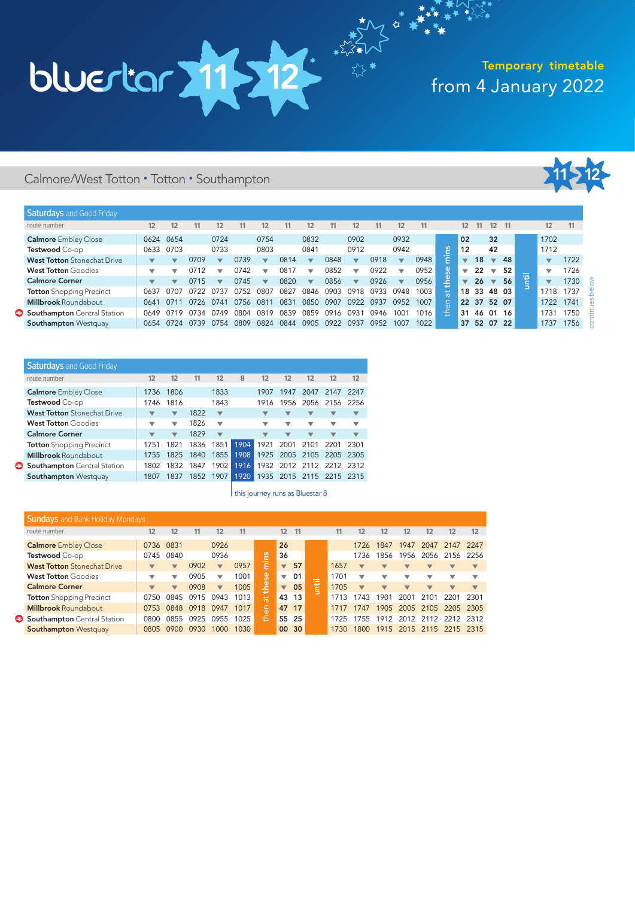# from 4 January 2022 Temporary timetable

### Calmore/West Totton • Totton • Southampton



| <b>Saturdays</b> and Good Friday   |                          |                          |      |                          |      |                          |      |                          |      |                          |      |                          |      |        |    |             |                          |          |                               |                          |      |
|------------------------------------|--------------------------|--------------------------|------|--------------------------|------|--------------------------|------|--------------------------|------|--------------------------|------|--------------------------|------|--------|----|-------------|--------------------------|----------|-------------------------------|--------------------------|------|
| route number                       | 12                       | 12                       | 11   | 12                       | 11   | $12 \overline{ }$        |      | 12                       | 11   | 12                       | 11   | 12                       | 11   |        | 12 | 11          | $12 \overline{ }$        | - 11     |                               | 12 <sup>2</sup>          | 11   |
| <b>Calmore</b> Embley Close        |                          | 0624 0654                |      | 0724                     |      | 0754                     |      | 0832                     |      | 0902                     |      | 0932                     |      |        | 02 |             | 32                       |          |                               | 1702                     |      |
| Testwood Co-op                     | 0633                     | 0703                     |      | 0733                     |      | 0803                     |      | 0841                     |      | 0912                     |      | 0942                     |      | ൠ      | 12 |             | 42                       |          |                               | 1712                     |      |
| <b>West Totton</b> Stonechat Drive |                          | ▼                        | 0709 | $\overline{\phantom{a}}$ | 0739 | $\overline{\phantom{a}}$ | 0814 | $\overline{\mathbf{v}}$  | 0848 | $\overline{\phantom{a}}$ | 0918 | $\overline{\phantom{a}}$ | 0948 | $\sim$ |    | 18          | $\overline{\phantom{a}}$ | 48       |                               | $\overline{\phantom{a}}$ | 1722 |
| <b>West Totton Goodies</b>         | $\overline{\phantom{a}}$ | $\overline{\phantom{a}}$ | 0712 | ▽                        | 0742 | ◡                        | 0817 | $\overline{\phantom{a}}$ | 0852 | $\overline{\phantom{a}}$ | 0922 | $\overline{\phantom{a}}$ | 0952 | es     |    | 22          | $\triangledown$          | 52       | _<br>$\overline{\phantom{0}}$ | $\overline{\phantom{a}}$ | 1726 |
| <b>Calmore Corner</b>              | ▼                        | $\overline{\phantom{a}}$ | 0715 | $\overline{\phantom{0}}$ | 0745 | $\overline{\phantom{a}}$ | 0820 | $\overline{\phantom{a}}$ | 0856 | $\overline{\phantom{a}}$ | 0926 | $\overline{\phantom{a}}$ | 0956 | LC.    | ▼  | 26          | $\overline{\mathbf{v}}$  | 56       | ø                             | $\overline{\phantom{a}}$ | 1730 |
| <b>Totton</b> Shopping Precinct    | 0637                     | 0707                     | 0722 | 0737                     | 0752 | 0807                     | 0827 | 0846                     | 0903 | 0918                     | 0933 | 0948                     | 1003 | 븠      | 18 | 33          | 48 03                    |          |                               | 1718                     | 1737 |
| <b>Millbrook Roundabout</b>        | 0641                     | 0711                     | 0726 | 0741                     | 0756 | 081                      | 083  | 0850                     | 0907 | 0922                     | 0937 | 0952                     | 1007 | ιã     |    | 22 37 52 07 |                          |          |                               | 1722                     | 1741 |
| Southampton Central Station        | 0649                     | 0719                     | 0734 | 0749                     | 0804 | 0819                     | 0839 | 0859                     | 0916 | 093'                     | በ946 | 1001                     | 1016 | 좀      | 31 | 46 01       |                          | 16       |                               | 1731                     | 1750 |
| <b>Southampton Westquay</b>        | 0654                     | 0724                     | 0739 | 0754                     | 0809 | 0824                     | 0844 | 0905                     | 0922 | 0937                     | 0952 | 1007                     | 1022 |        | 37 |             |                          | 52 07 22 |                               | 1737                     | 1756 |

 $\sum_{n=1}^{\infty}$ 

| <b>Saturdays</b> and Good Friday   |                         |                          |      |                          |      |              |                          |                         |                                |                                     |
|------------------------------------|-------------------------|--------------------------|------|--------------------------|------|--------------|--------------------------|-------------------------|--------------------------------|-------------------------------------|
| route number                       | 12                      | 12                       | 11   | 12                       | 8    | 12           | 12                       | 12                      | 12                             | 12                                  |
| <b>Calmore</b> Embley Close        | 1736                    | 1806                     |      | 1833                     |      | 1907         | 1947                     | 2047                    | 2147                           | 2247                                |
| Testwood Co-op                     | 1746                    | 1816                     |      | 1843                     |      | 1916         | 1956                     |                         |                                |                                     |
| <b>West Totton</b> Stonechat Drive |                         | $\overline{\phantom{a}}$ | 1822 | $\overline{\phantom{a}}$ |      |              | ▼                        | ▼                       | ▼                              | ▼                                   |
| <b>West Totton</b> Goodies         | ▼                       | $\overline{\mathbf{v}}$  | 1826 | $\overline{\mathbf{v}}$  |      | ▼            | ▼                        | ▼                       | ▼                              | ▼                                   |
| <b>Calmore Corner</b>              | $\overline{\mathbf{v}}$ | $\overline{\phantom{a}}$ | 1829 | $\overline{\mathbf{v}}$  |      | ▼            | $\overline{\phantom{a}}$ | $\overline{\mathbf{v}}$ | ▼                              | ▼                                   |
| <b>Totton</b> Shopping Precinct    | 1751                    | 1821                     | 1836 |                          | 1904 | 1921         | 2001                     | 2101                    | 2201                           | 2301                                |
| <b>Millbrook Roundabout</b>        | 1755                    | 1825                     | 1840 |                          | 1908 | 1925         |                          | 2105                    | 2205                           | 2305                                |
| <b>Southampton</b> Central Station | 1802                    | 1832                     | 1847 | 1902                     | 1916 | 1932         |                          |                         |                                |                                     |
| <b>Southampton Westquay</b>        | 1807                    | 1837                     | 1852 | 1907                     | 1920 | 1935         |                          |                         |                                | 2315                                |
|                                    |                         |                          |      |                          |      | 1851<br>1855 |                          |                         | 2005<br>2012 2112<br>2015 2115 | 2056 2156 2256<br>2212 2312<br>2215 |

| this journey runs as Bluestar 8

| <b>Sundays</b> and Bank Holiday Mondays |                          |                         |      |                         |      |          |                         |       |   |      |                          |                          |                          |                          |                          |                          |
|-----------------------------------------|--------------------------|-------------------------|------|-------------------------|------|----------|-------------------------|-------|---|------|--------------------------|--------------------------|--------------------------|--------------------------|--------------------------|--------------------------|
| route number                            | 12                       | 12                      |      | 12                      | 11   |          | 12 <sup>2</sup>         | $-11$ |   | 11   | 12                       | 12                       | 12                       | 12                       | 12                       | 12                       |
| <b>Calmore</b> Embley Close             | 0736 0831                |                         |      | 0926                    |      |          | 26                      |       |   |      | 1726                     | 1847                     | 1947                     | 2047                     | 2147                     | 2247                     |
| Testwood Co-op                          | 0745                     | 0840                    |      | 0936                    |      | ဗ္ဗ      | 36                      |       |   |      | 1736                     | 1856                     | 1956                     | 2056                     | 2156                     | 2256                     |
| <b>West Totton</b> Stonechat Drive      | $\overline{\mathbf{v}}$  | $\overline{\mathbf{v}}$ | 0902 | $\overline{\mathbf{v}}$ | 0957 | a        | $\overline{\mathbf{v}}$ | 57    |   | 1657 | $\overline{\phantom{a}}$ | $\overline{\phantom{a}}$ | $\overline{\mathbf{v}}$  | ▼                        | $\overline{\phantom{a}}$ | $\blacktriangledown$     |
| <b>West Totton Goodies</b>              |                          | ▽                       | 0905 | ▽                       | 1001 | ပ္တ      | ▼                       | 01    |   | 1701 |                          | ▽                        | ▽                        | v                        |                          |                          |
| <b>Calmore Corner</b>                   | $\overline{\phantom{a}}$ | $\overline{\mathbf{v}}$ | 0908 | $\overline{\mathbf{v}}$ | 1005 | le<br>11 | $\overline{\mathbf{v}}$ | 05    | ŧ | 1705 | $\overline{\phantom{a}}$ | $\overline{\phantom{a}}$ | $\overline{\phantom{a}}$ | $\overline{\phantom{a}}$ | $\overline{\phantom{a}}$ | $\overline{\phantom{a}}$ |
| <b>Totton</b> Shopping Precinct         | 0750                     | 0845                    | 0915 | 0943                    | 1013 | 耑        |                         | 43 13 |   | 1713 | 1743                     | 1901                     | 2001                     | 2101                     | 2201                     | 2301                     |
| <b>Millbrook Roundabout</b>             | 0753                     | 0848                    | 0918 | 0947                    | 1017 | ۵P       | 47 17                   |       |   | 1717 | 1747                     | 1905                     | 2005                     | 2105                     | 2205                     | 2305                     |
| Southampton Central Station             | ೧8೧೧                     | 0855                    | 0925 | 0955                    | 1025 | 홒        | 55 25                   |       |   | 1725 | 1755                     | 1912                     | 2012                     | 2112                     | 2212                     | 2312                     |
| <b>Southampton Westquay</b>             | 0805                     | 0900                    | 0930 | 1000                    | 1030 |          |                         | 00 30 |   | 1730 | 1800                     |                          | 1915 2015 2115 2215 2315 |                          |                          |                          |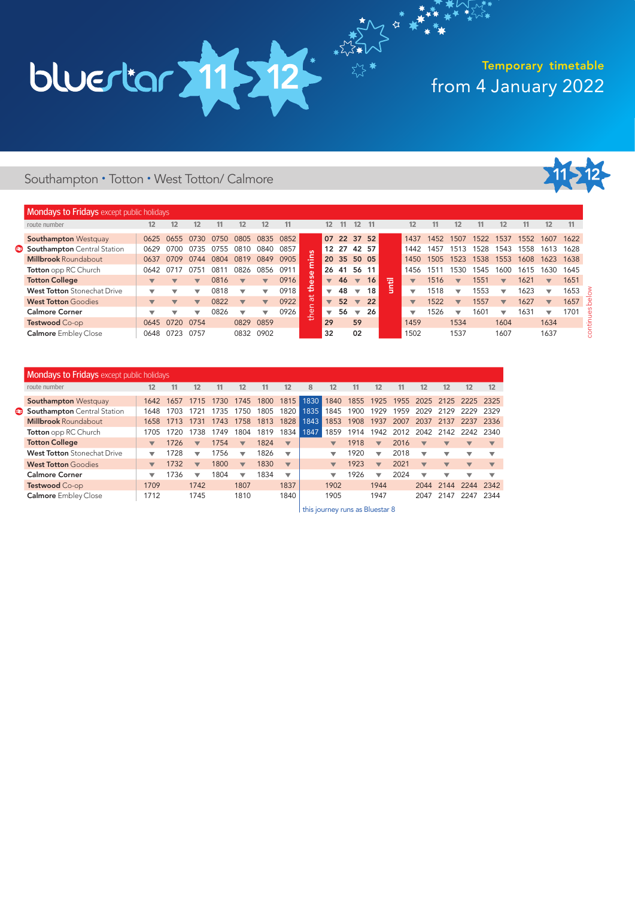### from 4 January 2022 Temporary timetable

### Southampton • Totton • West Totton/ Calmore



| <b>Mondays to Fridays</b> except public holidays |                         |           |                          |      |                          |      |                         |      |                         |      |                          |      |                          |                         |                          |                         |
|--------------------------------------------------|-------------------------|-----------|--------------------------|------|--------------------------|------|-------------------------|------|-------------------------|------|--------------------------|------|--------------------------|-------------------------|--------------------------|-------------------------|
| route number                                     | 12                      | 11        | 12                       |      | 12                       | 11   | 12                      | 8    | 12                      | 11   | 12                       | 11   | 12                       | 12                      | 12                       | 12                      |
| <b>Southampton Westquay</b>                      |                         | 1642 1657 | 1715                     | 1730 | 1745                     | 1800 | 1815                    | 1830 | 1840                    | 1855 | 1925                     | 1955 | 2025                     |                         | 2125 2225                | - 2325                  |
| Southampton Central Station                      | 1648                    | 1703      | 1721                     | 735  | 1750                     | 1805 | 1820                    | 1835 | 1845                    | 1900 | 1929                     | 1959 | 2029                     | 2129                    | 2229                     | 2329                    |
| <b>Millbrook Roundabout</b>                      | 1658                    | 1713      | 1731                     | 1743 | 1758                     | 1813 | 1828                    | 1843 | 1853                    | 1908 | 1937                     | 2007 | 2037                     | 2137                    | 2237                     | 2336                    |
| Totton opp RC Church                             | 1705                    | 1720      | 1738                     | 749  | 1804                     | 1819 | 1834                    | 1847 | 1859                    | 1914 | 1942                     | 2012 | 2042                     | 2142                    | 2242                     | 2340                    |
| <b>Totton College</b>                            | $\blacktriangledown$    | 1726      | $\overline{\mathbf{v}}$  | 1754 | $\overline{\mathbf{v}}$  | 1824 | $\overline{\mathbf{v}}$ |      | $\overline{\mathbf{v}}$ | 1918 | $\overline{\mathbf{v}}$  | 2016 | $\overline{\mathbf{v}}$  | $\blacktriangledown$    | $\overline{\phantom{a}}$ |                         |
| <b>West Totton</b> Stonechat Drive               | ▼                       | 1728      | ▼                        | 756  | ▼                        | 1826 | ▼                       |      | ▼                       | 1920 | $\overline{\phantom{a}}$ | 2018 | $\overline{\phantom{a}}$ | ▼                       | ▼                        |                         |
| <b>West Totton Goodies</b>                       | $\overline{\mathbf{v}}$ | 1732      | $\overline{\mathbf{v}}$  | 1800 | $\overline{\mathbf{v}}$  | 1830 | $\overline{\mathbf{v}}$ |      | $\overline{\mathbf{v}}$ | 1923 | $\overline{\mathbf{v}}$  | 2021 | $\overline{\phantom{a}}$ | $\overline{\mathbf{v}}$ | $\overline{\mathbf{v}}$  | $\overline{\mathbf{v}}$ |
| <b>Calmore Corner</b>                            | ▼                       | 1736      | $\overline{\phantom{a}}$ | 1804 | $\overline{\phantom{0}}$ | 1834 | ▼                       |      | ▼                       | 1926 | $\overline{\phantom{a}}$ | 2024 | $\overline{\phantom{a}}$ | ▼                       | ▼                        | ▼                       |
| Testwood Co-op                                   | 1709                    |           | 1742                     |      | 1807                     |      | 1837                    |      | 1902                    |      | 1944                     |      | 2044                     | 2144                    | 2244                     | 2342                    |
| <b>Calmore</b> Embley Close                      | 1712                    |           | 1745                     |      | 1810                     |      | 1840                    |      | 1905                    |      | 1947                     |      | 2047                     | 2147                    | 2247                     | 2344                    |

this journey runs as Bluestar 8